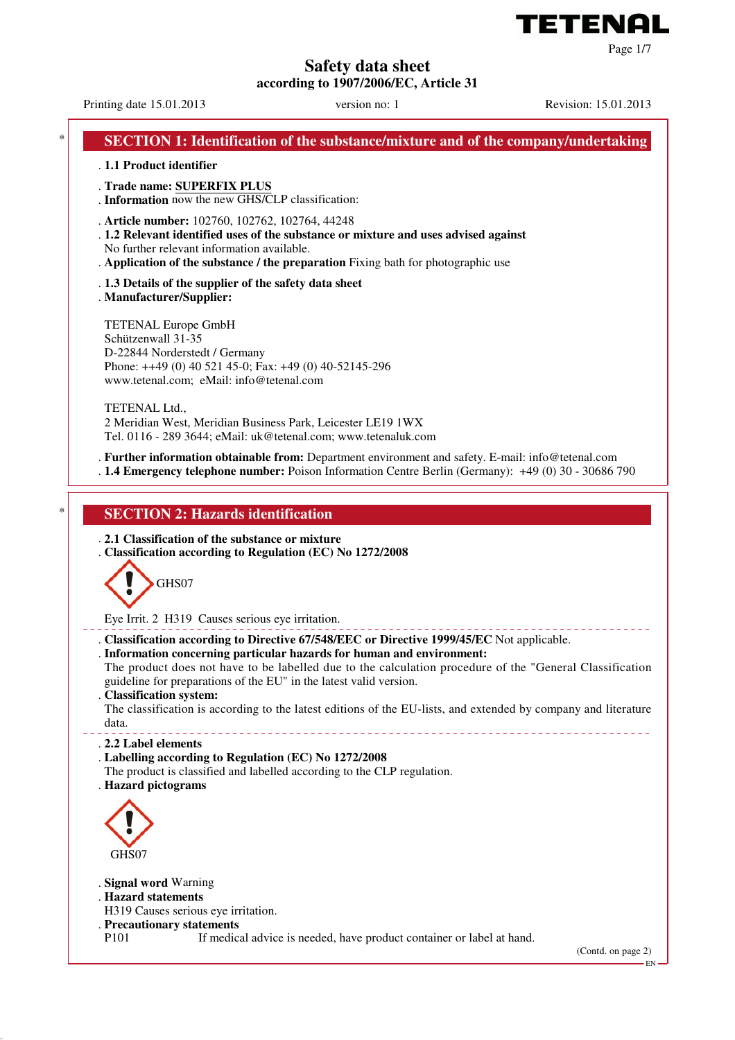

**Safety data sheet**

**according to 1907/2006/EC, Article 31**

Printing date 15.01.2013 version no: 1 Revision: 15.01.2013

Page 1/7

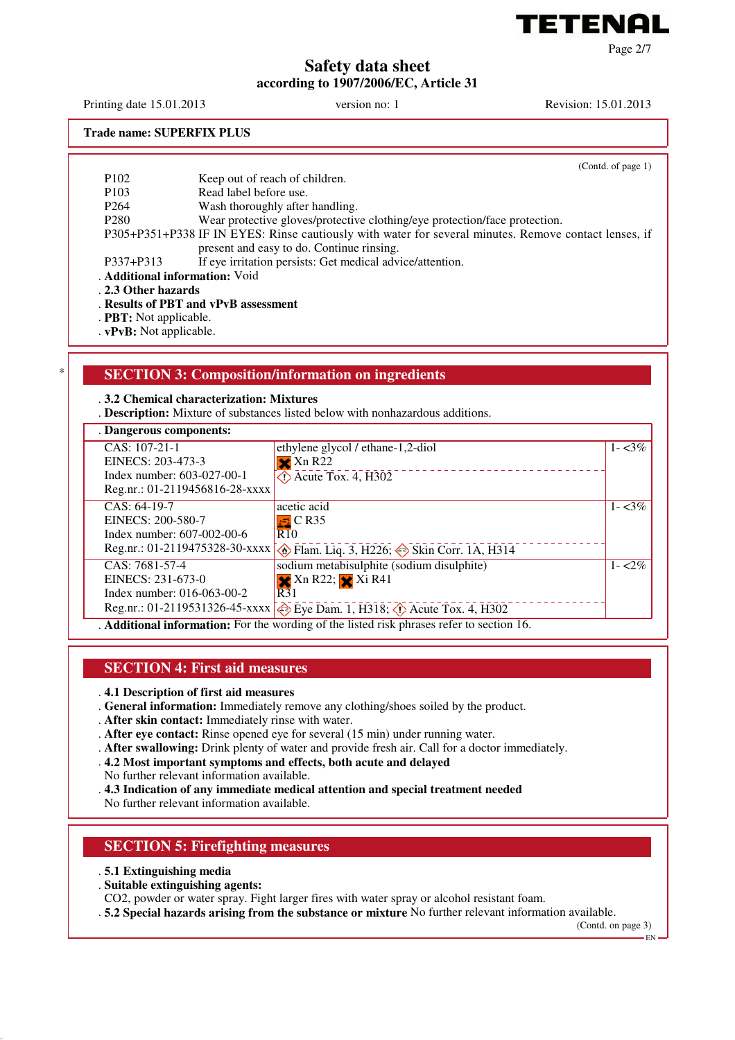

Page 2/7

# **Safety data sheet according to 1907/2006/EC, Article 31**

Printing date 15.01.2013 version no: 1 Revision: 15.01.2013

**Trade name: SUPERFIX PLUS**

|                                | (Contd. of page 1)                                                                                    |  |
|--------------------------------|-------------------------------------------------------------------------------------------------------|--|
| P <sub>102</sub>               | Keep out of reach of children.                                                                        |  |
| P <sub>10</sub> 3              | Read label before use.                                                                                |  |
| P <sub>264</sub>               | Wash thoroughly after handling.                                                                       |  |
| P <sub>280</sub>               | Wear protective gloves/protective clothing/eye protection/face protection.                            |  |
|                                | P305+P351+P338 IF IN EYES: Rinse cautiously with water for several minutes. Remove contact lenses, if |  |
|                                | present and easy to do. Continue rinsing.                                                             |  |
| P337+P313                      | If eye irritation persists: Get medical advice/attention.                                             |  |
| . Additional information: Void |                                                                                                       |  |
| 23 Other hozards               |                                                                                                       |  |

. **2.3 Other hazards**

. **Results of PBT and vPvB assessment**

- . **PBT:** Not applicable.
- . **vPvB:** Not applicable.

# \* **SECTION 3: Composition/information on ingredients**

#### . **3.2 Chemical characterization: Mixtures**

. **Description:** Mixture of substances listed below with nonhazardous additions.

#### . **Dangerous components:** CAS: 107-21-1 EINECS: 203-473-3 Index number: 603-027-00-1 Reg.nr.: 01-2119456816-28-xxxx ethylene glycol / ethane-1,2-diol  $\mathbf{\times}$  Xn R22  $\overline{4}$  Acute Tox. 4, H302  $1 - 3\%$ CAS: 64-19-7 EINECS: 200-580-7 Index number: 607-002-00-6 Reg.nr.: 01-2119475328-30-xxxx **. Flam.** Liq. 3, H226; Skin Corr. 1A, H314 acetic acid  $\overline{\Xi}$  C R35  $R10$  $1 - 3\%$ CAS: 7681-57-4 EINECS: 231-673-0 Index number: 016-063-00-2 Reg.nr.: 01-2119531326-45-xxxx  $\otimes$  Eye Dam. 1, H318;  $\otimes$  Acute Tox. 4, H302 sodium metabisulphite (sodium disulphite)  $\overline{\mathbf{X}}$  Xn R22;  $\overline{\mathbf{X}}$  Xi R41  $R31$  $1 - 2\%$ . **Additional information:** For the wording of the listed risk phrases refer to section 16.

## **SECTION 4: First aid measures**

- . **4.1 Description of first aid measures**
- . **General information:** Immediately remove any clothing/shoes soiled by the product.
- . **After skin contact:** Immediately rinse with water.
- . **After eye contact:** Rinse opened eye for several (15 min) under running water.
- . **After swallowing:** Drink plenty of water and provide fresh air. Call for a doctor immediately.
- . **4.2 Most important symptoms and effects, both acute and delayed**
- No further relevant information available.
- . **4.3 Indication of any immediate medical attention and special treatment needed**

No further relevant information available.

# **SECTION 5: Firefighting measures**

- . **5.1 Extinguishing media**
- . **Suitable extinguishing agents:**
- CO2, powder or water spray. Fight larger fires with water spray or alcohol resistant foam.
- . **5.2 Special hazards arising from the substance or mixture** No further relevant information available.

(Contd. on page 3)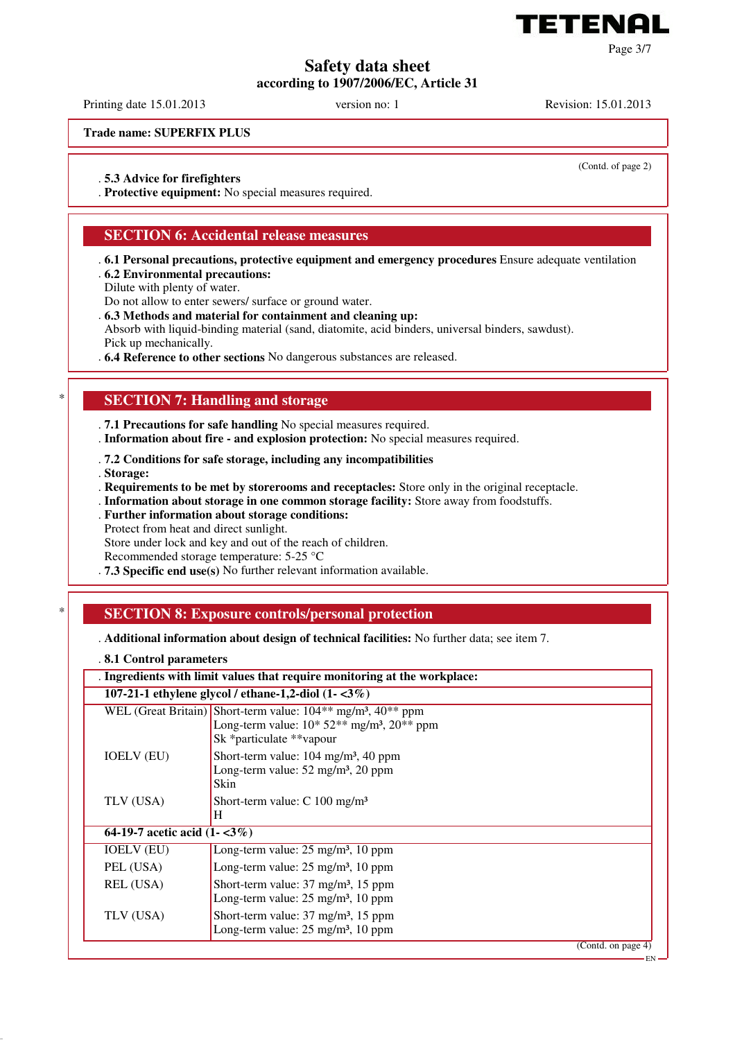

**Safety data sheet according to 1907/2006/EC, Article 31**

Printing date 15.01.2013 version no: 1 Revision: 15.01.2013

**Trade name: SUPERFIX PLUS**

(Contd. of page 2)

Page 3/7

. **5.3 Advice for firefighters**

. **Protective equipment:** No special measures required.

## **SECTION 6: Accidental release measures**

- . **6.1 Personal precautions, protective equipment and emergency procedures** Ensure adequate ventilation . **6.2 Environmental precautions:**
- Dilute with plenty of water.
- Do not allow to enter sewers/ surface or ground water.
- . **6.3 Methods and material for containment and cleaning up:**

Absorb with liquid-binding material (sand, diatomite, acid binders, universal binders, sawdust). Pick up mechanically.

. **6.4 Reference to other sections** No dangerous substances are released.

## **SECTION 7: Handling and storage**

. **7.1 Precautions for safe handling** No special measures required.

- . **Information about fire and explosion protection:** No special measures required.
- . **7.2 Conditions for safe storage, including any incompatibilities**
- . **Storage:**

. **Requirements to be met by storerooms and receptacles:** Store only in the original receptacle.

- . **Information about storage in one common storage facility:** Store away from foodstuffs.
- . **Further information about storage conditions:**
- Protect from heat and direct sunlight.

Store under lock and key and out of the reach of children.

Recommended storage temperature: 5-25 °C

. **7.3 Specific end use(s)** No further relevant information available.

## \* **SECTION 8: Exposure controls/personal protection**

. **Additional information about design of technical facilities:** No further data; see item 7.

#### . **8.1 Control parameters**

| 107-21-1 ethylene glycol / ethane-1,2-diol $(1 - 3\%)$<br>WEL (Great Britain) Short-term value: $104**$ mg/m <sup>3</sup> , $40**$ ppm<br>Long-term value: $10*52**$ mg/m <sup>3</sup> , $20**$ ppm<br>Sk *particulate **vapour<br><b>IOELV (EU)</b><br>Short-term value: $104 \text{ mg/m}^3$ , 40 ppm<br>Long-term value: 52 mg/m <sup>3</sup> , 20 ppm<br>Skin<br>TLV (USA)<br>Short-term value: $C$ 100 mg/m <sup>3</sup><br>H<br>64-19-7 acetic acid $(1 - 3\%)$<br>Long-term value: 25 mg/m <sup>3</sup> , 10 ppm<br><b>IOELV (EU)</b><br>PEL (USA)<br>Long-term value: 25 mg/m <sup>3</sup> , 10 ppm<br>REL (USA)<br>Short-term value: $37 \text{ mg/m}^3$ , $15 \text{ ppm}$<br>Long-term value: $25 \text{ mg/m}^3$ , 10 ppm<br>TLV (USA)<br>Short-term value: $37 \text{ mg/m}^3$ , $15 \text{ ppm}$<br>Long-term value: $25 \text{ mg/m}^3$ , 10 ppm | . Ingredients with limit values that require monitoring at the workplace: |  |  |
|-----------------------------------------------------------------------------------------------------------------------------------------------------------------------------------------------------------------------------------------------------------------------------------------------------------------------------------------------------------------------------------------------------------------------------------------------------------------------------------------------------------------------------------------------------------------------------------------------------------------------------------------------------------------------------------------------------------------------------------------------------------------------------------------------------------------------------------------------------------------|---------------------------------------------------------------------------|--|--|
| (Contd. on page 4)<br>EN                                                                                                                                                                                                                                                                                                                                                                                                                                                                                                                                                                                                                                                                                                                                                                                                                                        |                                                                           |  |  |
|                                                                                                                                                                                                                                                                                                                                                                                                                                                                                                                                                                                                                                                                                                                                                                                                                                                                 |                                                                           |  |  |
|                                                                                                                                                                                                                                                                                                                                                                                                                                                                                                                                                                                                                                                                                                                                                                                                                                                                 |                                                                           |  |  |
|                                                                                                                                                                                                                                                                                                                                                                                                                                                                                                                                                                                                                                                                                                                                                                                                                                                                 |                                                                           |  |  |
|                                                                                                                                                                                                                                                                                                                                                                                                                                                                                                                                                                                                                                                                                                                                                                                                                                                                 |                                                                           |  |  |
|                                                                                                                                                                                                                                                                                                                                                                                                                                                                                                                                                                                                                                                                                                                                                                                                                                                                 |                                                                           |  |  |
|                                                                                                                                                                                                                                                                                                                                                                                                                                                                                                                                                                                                                                                                                                                                                                                                                                                                 |                                                                           |  |  |
|                                                                                                                                                                                                                                                                                                                                                                                                                                                                                                                                                                                                                                                                                                                                                                                                                                                                 |                                                                           |  |  |
|                                                                                                                                                                                                                                                                                                                                                                                                                                                                                                                                                                                                                                                                                                                                                                                                                                                                 |                                                                           |  |  |
|                                                                                                                                                                                                                                                                                                                                                                                                                                                                                                                                                                                                                                                                                                                                                                                                                                                                 |                                                                           |  |  |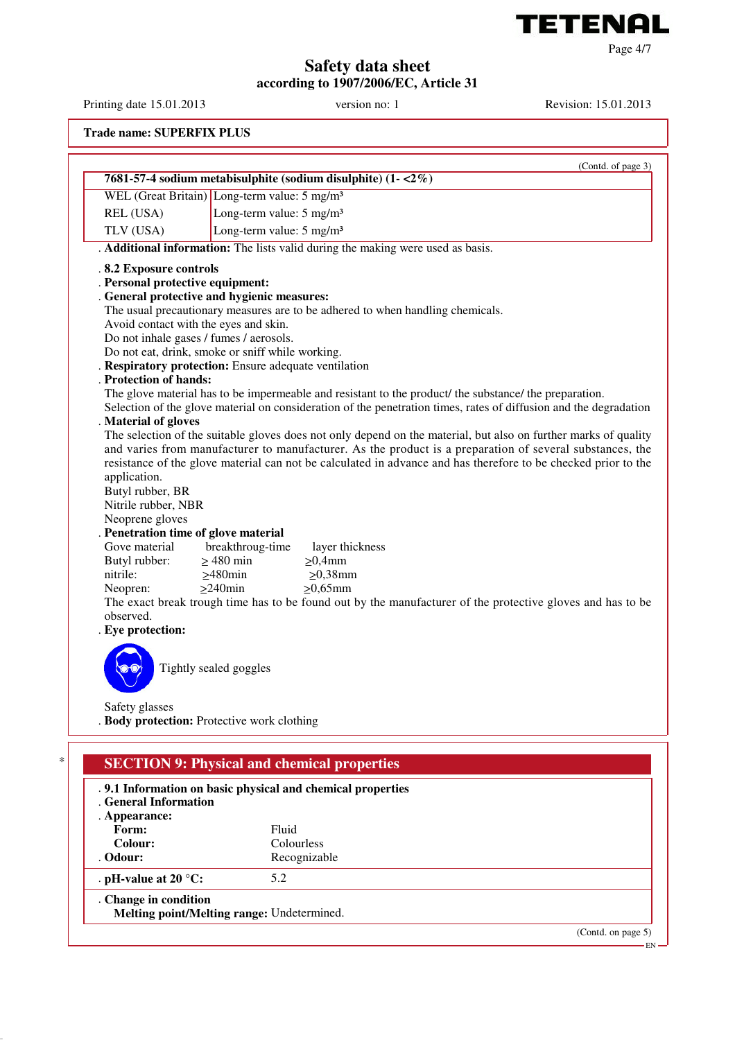

Page 4/7

**Safety data sheet**

**according to 1907/2006/EC, Article 31**

Printing date 15.01.2013 version no: 1 Revision: 15.01.2013

**Trade name: SUPERFIX PLUS**

| WEL (Great Britain) Long-term value: 5 mg/m <sup>3</sup><br>REL (USA)<br>TLV (USA)<br>.8.2 Exposure controls<br>. Personal protective equipment:<br>. General protective and hygienic measures:<br>Avoid contact with the eyes and skin.<br>Do not inhale gases / fumes / aerosols.<br>Do not eat, drink, smoke or sniff while working.<br>. Respiratory protection: Ensure adequate ventilation<br>. Protection of hands:<br>. Material of gloves<br>application.<br>Butyl rubber, BR<br>Nitrile rubber, NBR | 7681-57-4 sodium metabisulphite (sodium disulphite) (1-<2%)<br>Long-term value: 5 mg/m <sup>3</sup><br>Long-term value: 5 mg/m <sup>3</sup><br>. Additional information: The lists valid during the making were used as basis.<br>The usual precautionary measures are to be adhered to when handling chemicals. | The glove material has to be impermeable and resistant to the product/ the substance/ the preparation.<br>Selection of the glove material on consideration of the penetration times, rates of diffusion and the degradation<br>The selection of the suitable gloves does not only depend on the material, but also on further marks of quality<br>and varies from manufacturer to manufacturer. As the product is a preparation of several substances, the<br>resistance of the glove material can not be calculated in advance and has therefore to be checked prior to the |
|---------------------------------------------------------------------------------------------------------------------------------------------------------------------------------------------------------------------------------------------------------------------------------------------------------------------------------------------------------------------------------------------------------------------------------------------------------------------------------------------------------------|------------------------------------------------------------------------------------------------------------------------------------------------------------------------------------------------------------------------------------------------------------------------------------------------------------------|------------------------------------------------------------------------------------------------------------------------------------------------------------------------------------------------------------------------------------------------------------------------------------------------------------------------------------------------------------------------------------------------------------------------------------------------------------------------------------------------------------------------------------------------------------------------------|
|                                                                                                                                                                                                                                                                                                                                                                                                                                                                                                               |                                                                                                                                                                                                                                                                                                                  |                                                                                                                                                                                                                                                                                                                                                                                                                                                                                                                                                                              |
|                                                                                                                                                                                                                                                                                                                                                                                                                                                                                                               |                                                                                                                                                                                                                                                                                                                  |                                                                                                                                                                                                                                                                                                                                                                                                                                                                                                                                                                              |
|                                                                                                                                                                                                                                                                                                                                                                                                                                                                                                               |                                                                                                                                                                                                                                                                                                                  |                                                                                                                                                                                                                                                                                                                                                                                                                                                                                                                                                                              |
|                                                                                                                                                                                                                                                                                                                                                                                                                                                                                                               |                                                                                                                                                                                                                                                                                                                  |                                                                                                                                                                                                                                                                                                                                                                                                                                                                                                                                                                              |
|                                                                                                                                                                                                                                                                                                                                                                                                                                                                                                               |                                                                                                                                                                                                                                                                                                                  |                                                                                                                                                                                                                                                                                                                                                                                                                                                                                                                                                                              |
|                                                                                                                                                                                                                                                                                                                                                                                                                                                                                                               |                                                                                                                                                                                                                                                                                                                  |                                                                                                                                                                                                                                                                                                                                                                                                                                                                                                                                                                              |
|                                                                                                                                                                                                                                                                                                                                                                                                                                                                                                               |                                                                                                                                                                                                                                                                                                                  |                                                                                                                                                                                                                                                                                                                                                                                                                                                                                                                                                                              |
|                                                                                                                                                                                                                                                                                                                                                                                                                                                                                                               |                                                                                                                                                                                                                                                                                                                  |                                                                                                                                                                                                                                                                                                                                                                                                                                                                                                                                                                              |
|                                                                                                                                                                                                                                                                                                                                                                                                                                                                                                               |                                                                                                                                                                                                                                                                                                                  |                                                                                                                                                                                                                                                                                                                                                                                                                                                                                                                                                                              |
|                                                                                                                                                                                                                                                                                                                                                                                                                                                                                                               |                                                                                                                                                                                                                                                                                                                  |                                                                                                                                                                                                                                                                                                                                                                                                                                                                                                                                                                              |
|                                                                                                                                                                                                                                                                                                                                                                                                                                                                                                               |                                                                                                                                                                                                                                                                                                                  |                                                                                                                                                                                                                                                                                                                                                                                                                                                                                                                                                                              |
|                                                                                                                                                                                                                                                                                                                                                                                                                                                                                                               |                                                                                                                                                                                                                                                                                                                  |                                                                                                                                                                                                                                                                                                                                                                                                                                                                                                                                                                              |
|                                                                                                                                                                                                                                                                                                                                                                                                                                                                                                               |                                                                                                                                                                                                                                                                                                                  |                                                                                                                                                                                                                                                                                                                                                                                                                                                                                                                                                                              |
| Neoprene gloves                                                                                                                                                                                                                                                                                                                                                                                                                                                                                               |                                                                                                                                                                                                                                                                                                                  |                                                                                                                                                                                                                                                                                                                                                                                                                                                                                                                                                                              |
| . Penetration time of glove material<br>Gove material<br>Butyl rubber:<br>$\geq$ 480 min<br>$\geq$ 480min<br>nitrile:<br>$\geq$ 240min<br>Neopren:<br>observed.<br>. Eye protection:                                                                                                                                                                                                                                                                                                                          | breakthroug-time<br>layer thickness<br>$\geq 0,4$ mm<br>$\geq 0,38$ mm<br>$\geq 0.65$ mm                                                                                                                                                                                                                         | The exact break trough time has to be found out by the manufacturer of the protective gloves and has to be                                                                                                                                                                                                                                                                                                                                                                                                                                                                   |
| Tightly sealed goggles                                                                                                                                                                                                                                                                                                                                                                                                                                                                                        |                                                                                                                                                                                                                                                                                                                  |                                                                                                                                                                                                                                                                                                                                                                                                                                                                                                                                                                              |
| Safety glasses<br>. Body protection: Protective work clothing                                                                                                                                                                                                                                                                                                                                                                                                                                                 |                                                                                                                                                                                                                                                                                                                  |                                                                                                                                                                                                                                                                                                                                                                                                                                                                                                                                                                              |

(Contd. on page 5)

EN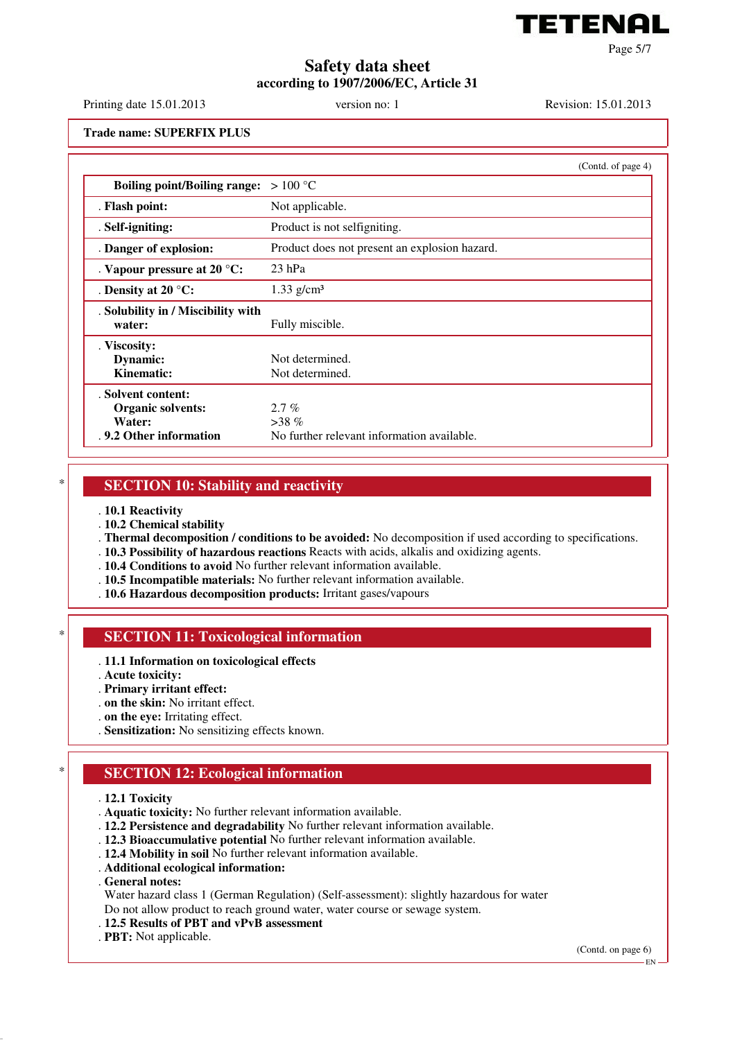

Page 5/7

# **Safety data sheet according to 1907/2006/EC, Article 31**

Printing date 15.01.2013 version no: 1 Revision: 15.01.2013

**Trade name: SUPERFIX PLUS**

|                                                                              | (Contd. of page 4)                                               |
|------------------------------------------------------------------------------|------------------------------------------------------------------|
| <b>Boiling point/Boiling range:</b>                                          | $>100\text{ °C}$                                                 |
| . Flash point:                                                               | Not applicable.                                                  |
| . Self-igniting:                                                             | Product is not selfigniting.                                     |
| . Danger of explosion:                                                       | Product does not present an explosion hazard.                    |
| . Vapour pressure at $20^{\circ}$ C:                                         | $23$ hPa                                                         |
| . Density at 20 $^{\circ}$ C:                                                | $1.33$ g/cm <sup>3</sup>                                         |
| . Solubility in / Miscibility with<br>water:                                 | Fully miscible.                                                  |
| . Viscosity:<br>Dynamic:<br>Kinematic:                                       | Not determined.<br>Not determined.                               |
| . Solvent content:<br>Organic solvents:<br>Water:<br>. 9.2 Other information | $2.7\%$<br>$>38\%$<br>No further relevant information available. |

#### **SECTION 10: Stability and reactivity**

- . **10.1 Reactivity**
- . **10.2 Chemical stability**
- . **Thermal decomposition / conditions to be avoided:** No decomposition if used according to specifications.
- . **10.3 Possibility of hazardous reactions** Reacts with acids, alkalis and oxidizing agents.
- . **10.4 Conditions to avoid** No further relevant information available.
- . **10.5 Incompatible materials:** No further relevant information available.
- . **10.6 Hazardous decomposition products:** Irritant gases/vapours

#### **SECTION 11: Toxicological information**

- . **11.1 Information on toxicological effects**
- . **Acute toxicity:**
- . **Primary irritant effect:**
- . **on the skin:** No irritant effect.
- . **on the eye:** Irritating effect.
- . **Sensitization:** No sensitizing effects known.

## **SECTION 12: Ecological information**

- . **12.1 Toxicity**
- . **Aquatic toxicity:** No further relevant information available.
- . **12.2 Persistence and degradability** No further relevant information available.
- . **12.3 Bioaccumulative potential** No further relevant information available.
- . **12.4 Mobility in soil** No further relevant information available.
- . **Additional ecological information:**
- . **General notes:**

Water hazard class 1 (German Regulation) (Self-assessment): slightly hazardous for water Do not allow product to reach ground water, water course or sewage system.

- . **12.5 Results of PBT and vPvB assessment**
- . **PBT:** Not applicable.

(Contd. on page 6)

EN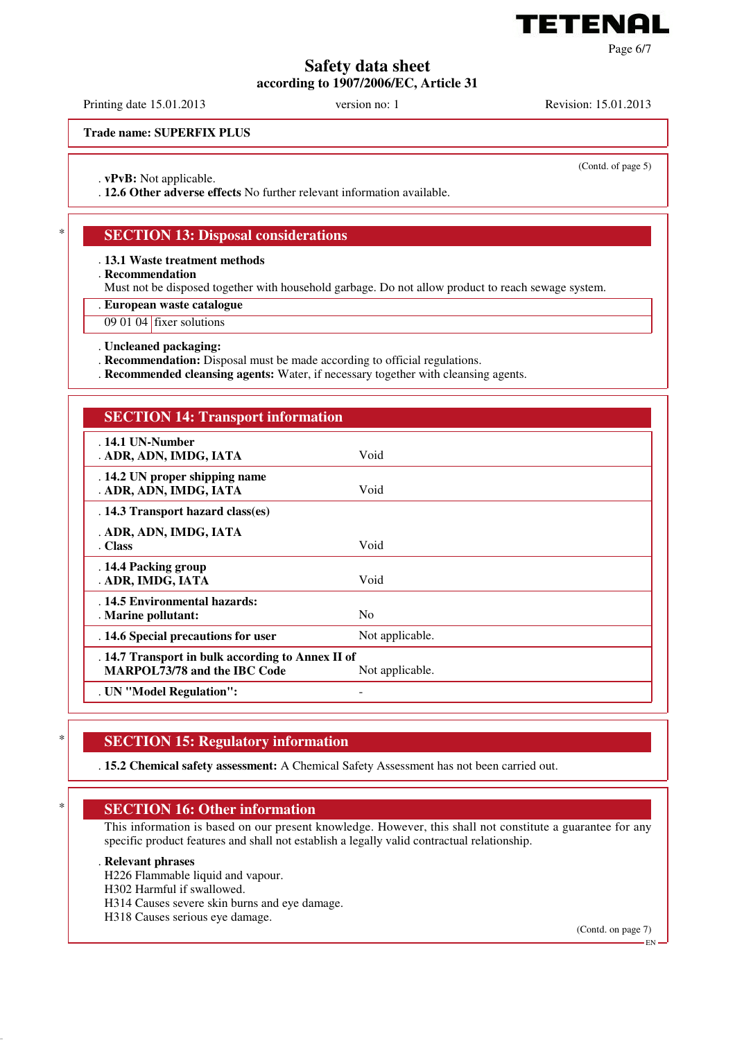

**Safety data sheet**

**according to 1907/2006/EC, Article 31**

Printing date 15.01.2013 version no: 1 Revision: 15.01.2013

**Trade name: SUPERFIX PLUS**

(Contd. of page 5)

Page 6/7

. **vPvB:** Not applicable.

. **12.6 Other adverse effects** No further relevant information available.

# **SECTION 13: Disposal considerations**

. **13.1 Waste treatment methods**

. **Recommendation**

Must not be disposed together with household garbage. Do not allow product to reach sewage system.

. **European waste catalogue**

09 01 04 fixer solutions

. **Uncleaned packaging:**

. **Recommendation:** Disposal must be made according to official regulations.

. **Recommended cleansing agents:** Water, if necessary together with cleansing agents.

# **SECTION 14: Transport information**

| $.14.1$ UN-Number<br>. ADR, ADN, IMDG, IATA                                                                 | Void            |  |  |  |
|-------------------------------------------------------------------------------------------------------------|-----------------|--|--|--|
| . 14.2 UN proper shipping name<br>. ADR, ADN, IMDG, IATA                                                    | Void            |  |  |  |
| . 14.3 Transport hazard class(es)                                                                           |                 |  |  |  |
| . ADR, ADN, IMDG, IATA                                                                                      |                 |  |  |  |
| . Class                                                                                                     | Void            |  |  |  |
| . 14.4 Packing group<br>. ADR, IMDG, IATA                                                                   | Void            |  |  |  |
|                                                                                                             |                 |  |  |  |
| . 14.5 Environmental hazards:<br>. Marine pollutant:                                                        | N <sub>o</sub>  |  |  |  |
| . 14.6 Special precautions for user                                                                         | Not applicable. |  |  |  |
| . 14.7 Transport in bulk according to Annex II of<br><b>MARPOL73/78 and the IBC Code</b><br>Not applicable. |                 |  |  |  |
| . UN "Model Regulation":                                                                                    |                 |  |  |  |

### **SECTION 15: Regulatory information**

. **15.2 Chemical safety assessment:** A Chemical Safety Assessment has not been carried out.

## **SECTION 16: Other information**

This information is based on our present knowledge. However, this shall not constitute a guarantee for any specific product features and shall not establish a legally valid contractual relationship.

#### . **Relevant phrases**

H226 Flammable liquid and vapour.

H302 Harmful if swallowed.

H314 Causes severe skin burns and eye damage.

H318 Causes serious eye damage.

(Contd. on page 7)

EN